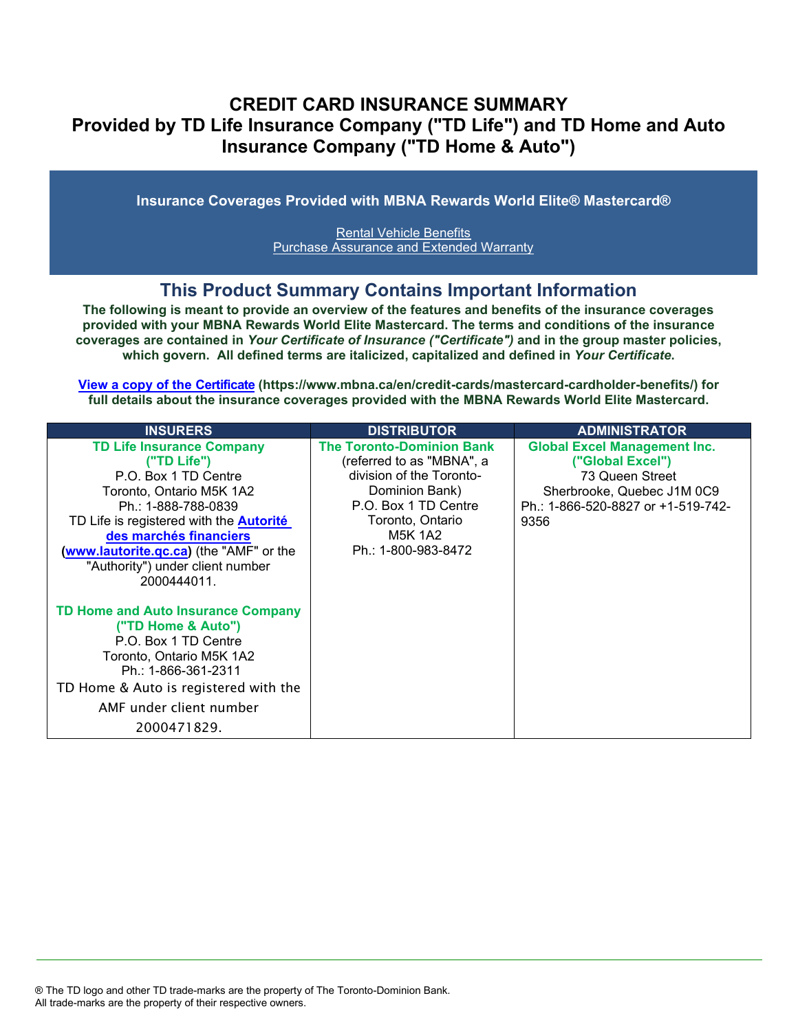## **CREDIT CARD INSURANCE SUMMARY Provided by TD Life Insurance Company ("TD Life") and TD Home and Auto Insurance Company ("TD Home & Auto")**

**Insurance Coverages Provided with MBNA Rewards World Elite® Mastercard®**

[Rental Vehicle Benefits](#page-3-0) [Purchase Assurance and Extended Warranty](#page-4-0)

## **This Product Summary Contains Important Information**

**The following is meant to provide an overview of the features and benefits of the insurance coverages provided with your MBNA Rewards World Elite Mastercard. The terms and conditions of the insurance coverages are contained in** *Your Certificate of Insurance ("Certificate")* **and in the group master policies, which govern. All defined terms are italicized, [capitalized and defined](https://www.mbna.ca/en/credit-cards/mastercard-cardholder-benefits/) in** *Your Certificate***.**

**[View a copy of the Certificate](https://www.mbna.ca/en/credit-cards/mastercard-cardholder-benefits/) (https://www.mbna.ca/en/credit-cards/mastercard-cardholder-benefits/) for full details about the insurance coverages provided with the MBNA Rewards World Elite Mastercard.** 

| <b>INSURERS</b>                                                                                                                                                                                                                                                                                      | <b>DISTRIBUTOR</b>                                                                                                                                                                        | <b>ADMINISTRATOR</b>                                                                                                                                   |
|------------------------------------------------------------------------------------------------------------------------------------------------------------------------------------------------------------------------------------------------------------------------------------------------------|-------------------------------------------------------------------------------------------------------------------------------------------------------------------------------------------|--------------------------------------------------------------------------------------------------------------------------------------------------------|
| <b>TD Life Insurance Company</b><br>("TD Life")<br>P.O. Box 1 TD Centre<br>Toronto, Ontario M5K 1A2<br>Ph.: 1-888-788-0839<br>TD Life is registered with the <b>Autorité</b><br>des marchés financiers<br>(www.lautorite.gc.ca) (the "AMF" or the<br>"Authority") under client number<br>2000444011. | <b>The Toronto-Dominion Bank</b><br>(referred to as "MBNA", a<br>division of the Toronto-<br>Dominion Bank)<br>P.O. Box 1 TD Centre<br>Toronto, Ontario<br>M5K 1A2<br>Ph.: 1-800-983-8472 | <b>Global Excel Management Inc.</b><br>("Global Excel")<br>73 Queen Street<br>Sherbrooke, Quebec J1M 0C9<br>Ph.: 1-866-520-8827 or +1-519-742-<br>9356 |
| TD Home and Auto Insurance Company<br>("TD Home & Auto")<br>P.O. Box 1 TD Centre<br>Toronto, Ontario M5K 1A2<br>Ph.: 1-866-361-2311<br>TD Home & Auto is registered with the<br>AMF under client number<br>2000471829.                                                                               |                                                                                                                                                                                           |                                                                                                                                                        |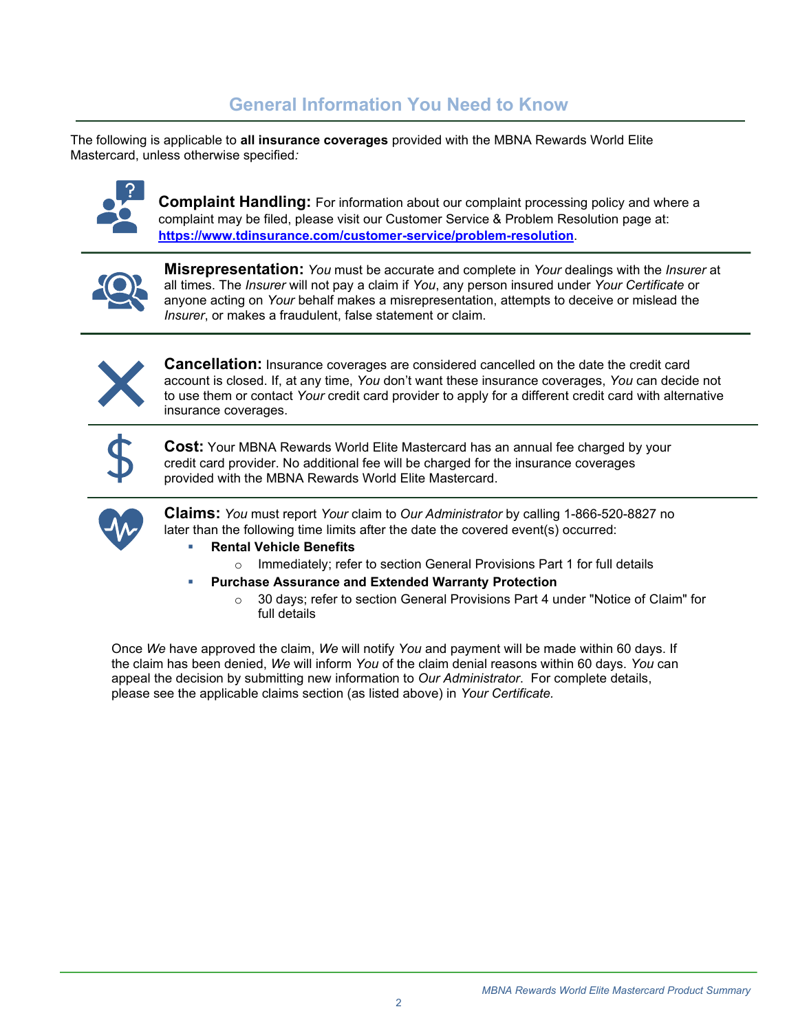## **General Information You Need to Know**

The following is applicable to **all insurance coverages** provided with the MBNA Rewards World Elite Mastercard, unless otherwise specified*:*



**Complaint Handling:** For information about our complaint processing policy and where a complaint may be filed, please visit our Customer Service & Problem Resolution page at: **<https://www.tdinsurance.com/customer-service/problem-resolution>**.



**Misrepresentation:** *You* must be accurate and complete in *Your* dealings with the *Insurer* at all times. The *Insurer* will not pay a claim if *You*, any person insured under *Your Certificate* or anyone acting on *Your* behalf makes a misrepresentation, attempts to deceive or mislead the *Insurer*, or makes a fraudulent, false statement or claim.



**Cancellation:** Insurance coverages are considered cancelled on the date the credit card account is closed. If, at any time, *You* don't want these insurance coverages, *You* can decide not to use them or contact *Your* credit card provider to apply for a different credit card with alternative insurance coverages.



**Cost:** Your MBNA Rewards World Elite Mastercard has an annual fee charged by your credit card provider. No additional fee will be charged for the insurance coverages provided with the MBNA Rewards World Elite Mastercard.



**Claims:** *You* must report *Your* claim to *Our Administrator* by calling 1-866-520-8827 no later than the following time limits after the date the covered event(s) occurred:

- **Rental Vehicle Benefits** 
	- o Immediately; refer to section General Provisions Part 1 for full details
- **Purchase Assurance and Extended Warranty Protection** 
	- o 30 days; refer to section General Provisions Part 4 under "Notice of Claim" for full details

Once *We* have approved the claim, *We* will notify *You* and payment will be made within 60 days. If the claim has been denied, *We* will inform *You* of the claim denial reasons within 60 days. *You* can appeal the decision by submitting new information to *Our Administrator*. For complete details, please see the applicable claims section (as listed above) in *Your Certificate.*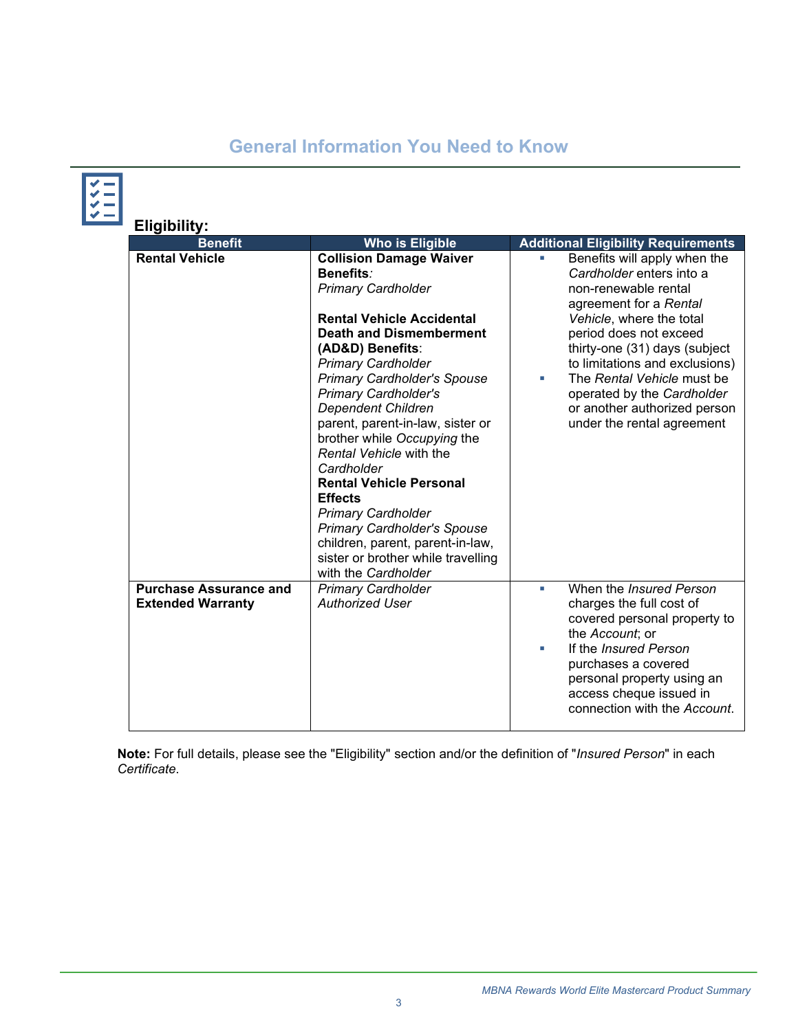# **General Information You Need to Know**

| <b>Eligibility:</b><br><b>Benefit</b>                     | <b>Who is Eligible</b>                                                                                                                                                                                                                                                                                                                                                                                                                                                                                                                                                                                                                       | <b>Additional Eligibility Requirements</b>                                                                                                                                                                                                                                                                                                                         |
|-----------------------------------------------------------|----------------------------------------------------------------------------------------------------------------------------------------------------------------------------------------------------------------------------------------------------------------------------------------------------------------------------------------------------------------------------------------------------------------------------------------------------------------------------------------------------------------------------------------------------------------------------------------------------------------------------------------------|--------------------------------------------------------------------------------------------------------------------------------------------------------------------------------------------------------------------------------------------------------------------------------------------------------------------------------------------------------------------|
| <b>Rental Vehicle</b>                                     | <b>Collision Damage Waiver</b><br><b>Benefits:</b><br><b>Primary Cardholder</b><br><b>Rental Vehicle Accidental</b><br><b>Death and Dismemberment</b><br>(AD&D) Benefits:<br><b>Primary Cardholder</b><br><b>Primary Cardholder's Spouse</b><br><b>Primary Cardholder's</b><br><b>Dependent Children</b><br>parent, parent-in-law, sister or<br>brother while Occupying the<br>Rental Vehicle with the<br>Cardholder<br><b>Rental Vehicle Personal</b><br><b>Effects</b><br><b>Primary Cardholder</b><br><b>Primary Cardholder's Spouse</b><br>children, parent, parent-in-law,<br>sister or brother while travelling<br>with the Cardholder | Benefits will apply when the<br>Cardholder enters into a<br>non-renewable rental<br>agreement for a Rental<br>Vehicle, where the total<br>period does not exceed<br>thirty-one (31) days (subject<br>to limitations and exclusions)<br>The Rental Vehicle must be<br>ш<br>operated by the Cardholder<br>or another authorized person<br>under the rental agreement |
| <b>Purchase Assurance and</b><br><b>Extended Warranty</b> | <b>Primary Cardholder</b><br><b>Authorized User</b>                                                                                                                                                                                                                                                                                                                                                                                                                                                                                                                                                                                          | When the <i>Insured Person</i><br>٠<br>charges the full cost of<br>covered personal property to<br>the Account; or<br>If the <i>Insured Person</i><br>٠<br>purchases a covered<br>personal property using an<br>access cheque issued in<br>connection with the Account.                                                                                            |

**Note:** For full details, please see the "Eligibility" section and/or the definition of "*Insured Person*" in each *Certificate*.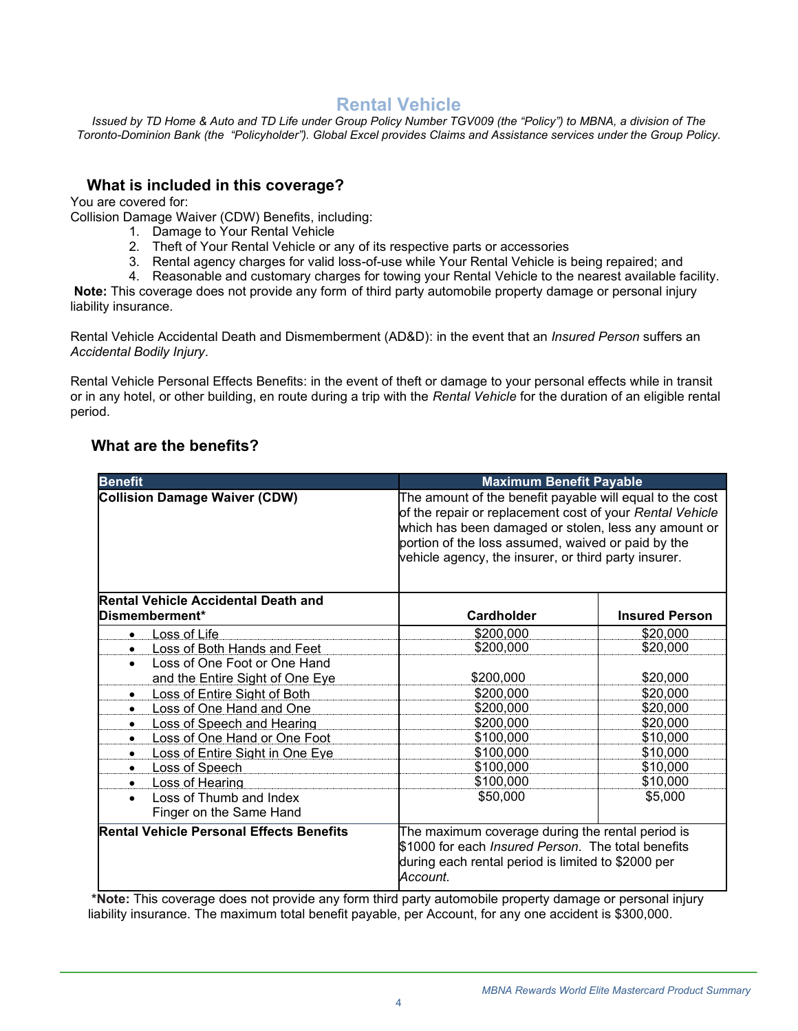## **Rental Vehicle**

<span id="page-3-0"></span>*Issued by TD Home & Auto and TD Life under Group Policy Number TGV009 (the "Policy") to MBNA, a division of The Toronto-Dominion Bank (the "Policyholder"). Global Excel provides Claims and Assistance services under the Group Policy.*

## **What is included in this coverage?**

You are covered for:

Collision Damage Waiver (CDW) Benefits, including:

- 1. Damage to Your Rental Vehicle
- 2. Theft of Your Rental Vehicle or any of its respective parts or accessories
- 3. Rental agency charges for valid loss-of-use while Your Rental Vehicle is being repaired; and
- 4. Reasonable and customary charges for towing your Rental Vehicle to the nearest available facility.

**Note:** This coverage does not provide any form of third party automobile property damage or personal injury liability insurance.

Rental Vehicle Accidental Death and Dismemberment (AD&D): in the event that an *Insured Person* suffers an *Accidental Bodily Injury*.

Rental Vehicle Personal Effects Benefits: in the event of theft or damage to your personal effects while in transit or in any hotel, or other building, en route during a trip with the *Rental Vehicle* for the duration of an eligible rental period.

## **What are the benefits?**

| <b>Benefit</b>                                                             | <b>Maximum Benefit Payable</b>                                                                                                                                                                                                                                                             |                       |
|----------------------------------------------------------------------------|--------------------------------------------------------------------------------------------------------------------------------------------------------------------------------------------------------------------------------------------------------------------------------------------|-----------------------|
| <b>Collision Damage Waiver (CDW)</b>                                       | The amount of the benefit payable will equal to the cost<br>of the repair or replacement cost of your Rental Vehicle<br>which has been damaged or stolen, less any amount or<br>portion of the loss assumed, waived or paid by the<br>vehicle agency, the insurer, or third party insurer. |                       |
| <b>Rental Vehicle Accidental Death and</b><br>Dismemberment*<br>Cardholder |                                                                                                                                                                                                                                                                                            | <b>Insured Person</b> |
| Loss of Life                                                               | \$200,000                                                                                                                                                                                                                                                                                  | \$20,000              |
| Loss of Both Hands and Feet                                                | \$200,000                                                                                                                                                                                                                                                                                  | \$20,000              |
| Loss of One Foot or One Hand<br>$\bullet$                                  |                                                                                                                                                                                                                                                                                            |                       |
| and the Entire Sight of One Eye                                            | \$200,000                                                                                                                                                                                                                                                                                  | \$20,000              |
| Loss of Entire Sight of Both<br>$\bullet$                                  | \$200,000                                                                                                                                                                                                                                                                                  | \$20,000              |
| Loss of One Hand and One<br>$\bullet$                                      | \$200,000                                                                                                                                                                                                                                                                                  | \$20,000              |
| Loss of Speech and Hearing                                                 | \$200,000                                                                                                                                                                                                                                                                                  | \$20,000              |
| Loss of One Hand or One Foot<br>$\bullet$                                  | \$100,000                                                                                                                                                                                                                                                                                  | \$10,000              |
| <b>Loss of Entire Sight in One Eye</b><br>$\bullet$                        | \$100,000                                                                                                                                                                                                                                                                                  | \$10,000              |
| Loss of Speech                                                             | \$100,000                                                                                                                                                                                                                                                                                  | \$10,000              |
| Loss of Hearing<br>$\bullet$                                               | \$100,000                                                                                                                                                                                                                                                                                  | \$10,000              |
| Loss of Thumb and Index<br>$\bullet$                                       | \$50,000                                                                                                                                                                                                                                                                                   | \$5,000               |
| Finger on the Same Hand                                                    |                                                                                                                                                                                                                                                                                            |                       |
| <b>Rental Vehicle Personal Effects Benefits</b>                            | The maximum coverage during the rental period is<br>\$1000 for each <i>Insured Person</i> . The total benefits<br>during each rental period is limited to \$2000 per<br>Account.                                                                                                           |                       |

**\*Note:** This coverage does not provide any form third party automobile property damage or personal injury liability insurance. The maximum total benefit payable, per Account, for any one accident is \$300,000.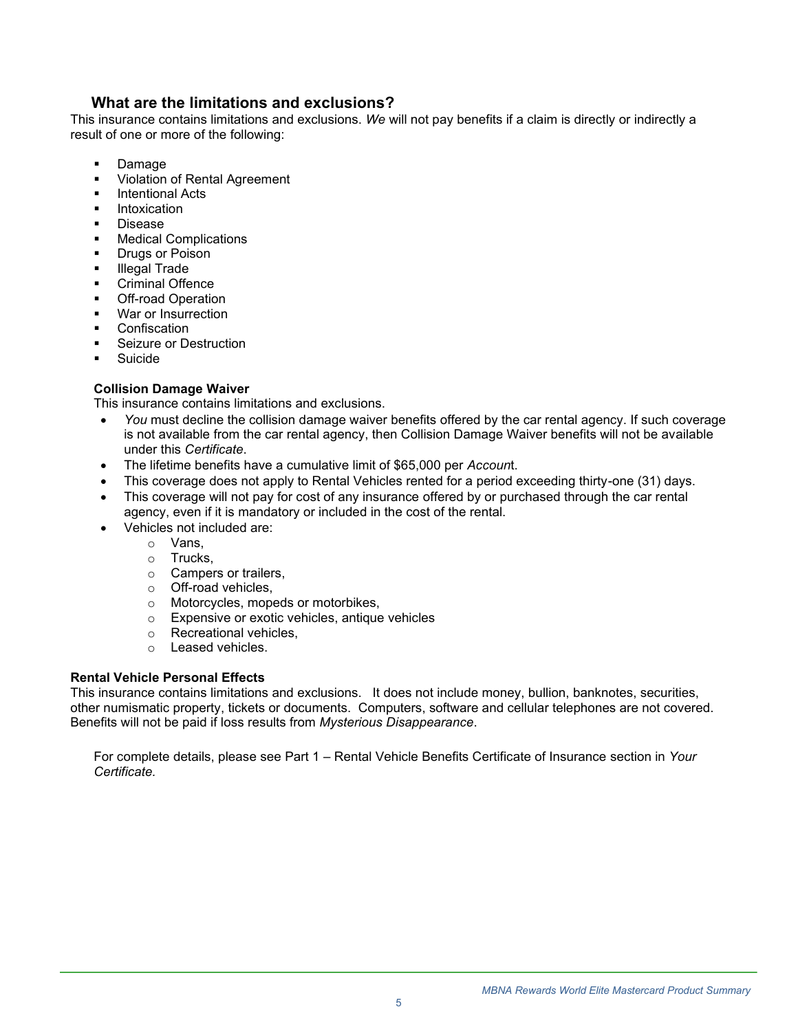## **What are the limitations and exclusions?**

This insurance contains limitations and exclusions. *We* will not pay benefits if a claim is directly or indirectly a result of one or more of the following:

- **Damage**
- Violation of Rental Agreement
- **Intentional Acts**
- **Intoxication**
- **Disease**
- **Medical Complications**
- Drugs or Poison
- **Illegal Trade**
- **Criminal Offence**
- **Off-road Operation**
- War or Insurrection
- **Confiscation**
- Seizure or Destruction
- **Suicide**

#### **Collision Damage Waiver**

This insurance contains limitations and exclusions.

- *You* must decline the collision damage waiver benefits offered by the car rental agency. If such coverage is not available from the car rental agency, then Collision Damage Waiver benefits will not be available under this *Certificate*.
- The lifetime benefits have a cumulative limit of \$65,000 per *Accoun*t.
- This coverage does not apply to Rental Vehicles rented for a period exceeding thirty-one (31) days.
- This coverage will not pay for cost of any insurance offered by or purchased through the car rental agency, even if it is mandatory or included in the cost of the rental.
- Vehicles not included are:
	- o Vans,
	- o Trucks,
	- o Campers or trailers,
	- o Off-road vehicles,
	- o Motorcycles, mopeds or motorbikes,
	- o Expensive or exotic vehicles, antique vehicles
	- o Recreational vehicles,
	- o Leased vehicles.

#### **Rental Vehicle Personal Effects**

This insurance contains limitations and exclusions. It does not include money, bullion, banknotes, securities, other numismatic property, tickets or documents. Computers, software and cellular telephones are not covered. Benefits will not be paid if loss results from *Mysterious Disappearance*.

<span id="page-4-0"></span>For complete details, please see Part 1 – Rental Vehicle Benefits Certificate of Insurance section in *Your Certificate.*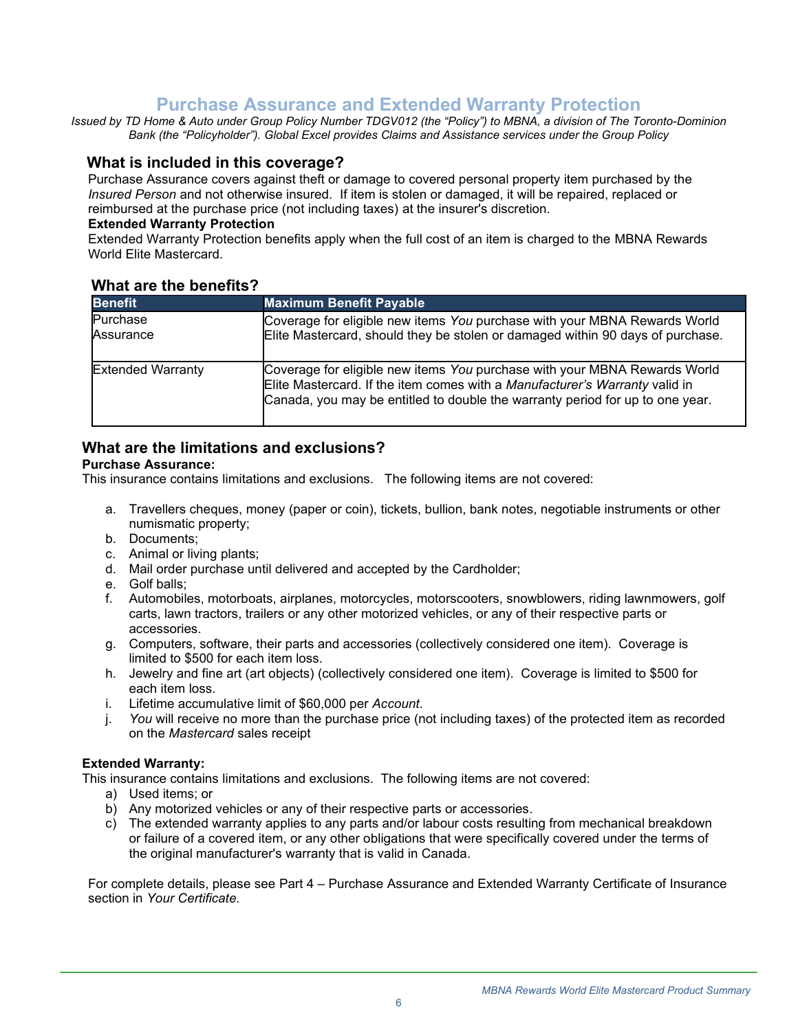## **Purchase Assurance and Extended Warranty Protection**

*Issued by TD Home & Auto under Group Policy Number TDGV012 (the "Policy") to MBNA, a division of The Toronto-Dominion Bank (the "Policyholder"). Global Excel provides Claims and Assistance services under the Group Policy*

### **What is included in this coverage?**

Purchase Assurance covers against theft or damage to covered personal property item purchased by the *Insured Person* and not otherwise insured. If item is stolen or damaged, it will be repaired, replaced or reimbursed at the purchase price (not including taxes) at the insurer's discretion.

#### **Extended Warranty Protection**

Extended Warranty Protection benefits apply when the full cost of an item is charged to the MBNA Rewards World Elite Mastercard.

#### **What are the benefits?**

| <b>Benefit</b>           | <b>Maximum Benefit Payable</b>                                                                                                                                                                                                            |
|--------------------------|-------------------------------------------------------------------------------------------------------------------------------------------------------------------------------------------------------------------------------------------|
| Purchase<br>Assurance    | Coverage for eligible new items You purchase with your MBNA Rewards World                                                                                                                                                                 |
|                          | Elite Mastercard, should they be stolen or damaged within 90 days of purchase.                                                                                                                                                            |
| <b>Extended Warranty</b> | Coverage for eligible new items You purchase with your MBNA Rewards World<br>Elite Mastercard. If the item comes with a Manufacturer's Warranty valid in<br>Canada, you may be entitled to double the warranty period for up to one year. |

### **What are the limitations and exclusions?**

#### **Purchase Assurance:**

This insurance contains limitations and exclusions. The following items are not covered:

- a. Travellers cheques, money (paper or coin), tickets, bullion, bank notes, negotiable instruments or other numismatic property;
- b. Documents;
- c. Animal or living plants;
- d. Mail order purchase until delivered and accepted by the Cardholder;
- e. Golf balls;
- f. Automobiles, motorboats, airplanes, motorcycles, motorscooters, snowblowers, riding lawnmowers, golf carts, lawn tractors, trailers or any other motorized vehicles, or any of their respective parts or accessories.
- g. Computers, software, their parts and accessories (collectively considered one item). Coverage is limited to \$500 for each item loss.
- h. Jewelry and fine art (art objects) (collectively considered one item). Coverage is limited to \$500 for each item loss.
- i. Lifetime accumulative limit of \$60,000 per *Account*.
- j. *You* will receive no more than the purchase price (not including taxes) of the protected item as recorded on the *Mastercard* sales receipt

#### **Extended Warranty:**

This insurance contains limitations and exclusions. The following items are not covered:

- a) Used items; or
- b) Any motorized vehicles or any of their respective parts or accessories.
- c) The extended warranty applies to any parts and/or labour costs resulting from mechanical breakdown or failure of a covered item, or any other obligations that were specifically covered under the terms of the original manufacturer's warranty that is valid in Canada.

For complete details, please see Part 4 – Purchase Assurance and Extended Warranty Certificate of Insurance section in *Your Certificate.*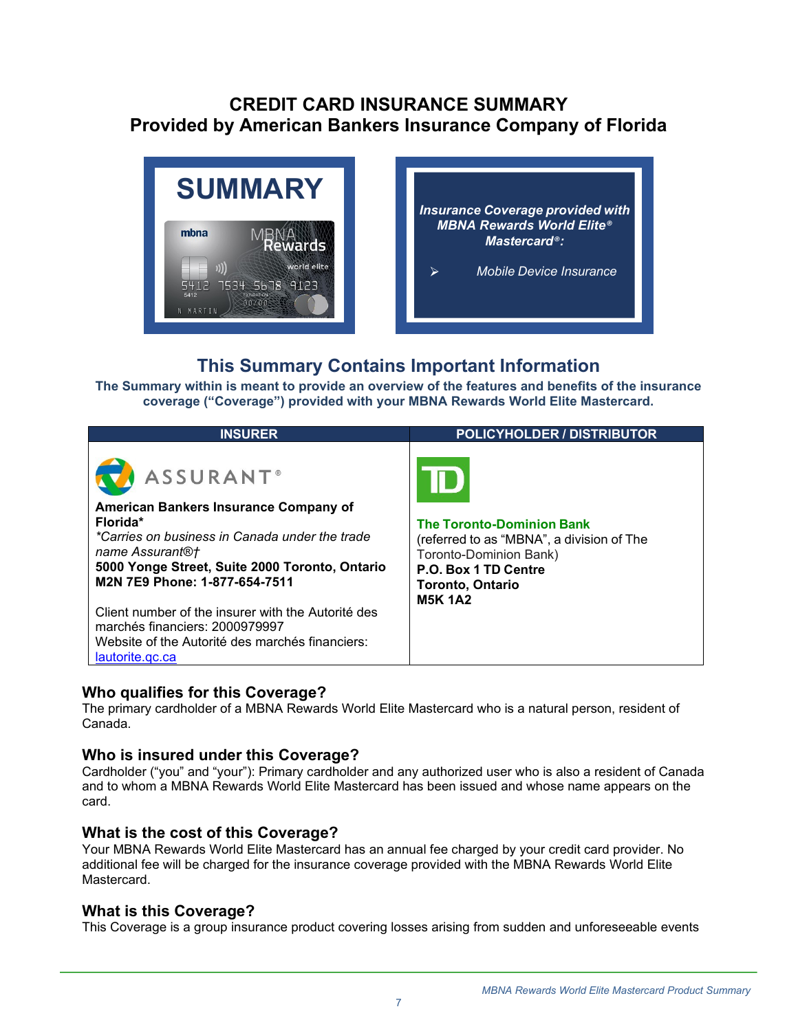## **CREDIT CARD INSURANCE SUMMARY Provided by American Bankers Insurance Company of Florida**





## **This Summary Contains Important Information**

**The Summary within is meant to provide an overview of the features and benefits of the insurance coverage ("Coverage") provided with your MBNA Rewards World Elite Mastercard.**

| <b>INSURER</b>                                                                                                                                                                                                                                                                                                                                                                                          | <b>POLICYHOLDER / DISTRIBUTOR</b>                                                                                                                                            |
|---------------------------------------------------------------------------------------------------------------------------------------------------------------------------------------------------------------------------------------------------------------------------------------------------------------------------------------------------------------------------------------------------------|------------------------------------------------------------------------------------------------------------------------------------------------------------------------------|
| <b>ASSURANT®</b><br>American Bankers Insurance Company of<br>Florida*<br>*Carries on business in Canada under the trade<br>name Assurant <sup>®†</sup><br>5000 Yonge Street, Suite 2000 Toronto, Ontario<br>M2N 7E9 Phone: 1-877-654-7511<br>Client number of the insurer with the Autorité des<br>marchés financiers: 2000979997<br>Website of the Autorité des marchés financiers:<br>lautorite.gc.ca | <b>The Toronto-Dominion Bank</b><br>(referred to as "MBNA", a division of The<br>Toronto-Dominion Bank)<br>P.O. Box 1 TD Centre<br><b>Toronto, Ontario</b><br><b>M5K 1A2</b> |

## **Who qualifies for this Coverage?**

The primary cardholder of a MBNA Rewards World Elite Mastercard who is a natural person, resident of Canada.

## **Who is insured under this Coverage?**

Cardholder ("you" and "your"): Primary cardholder and any authorized user who is also a resident of Canada and to whom a MBNA Rewards World Elite Mastercard has been issued and whose name appears on the card.

## **What is the cost of this Coverage?**

Your MBNA Rewards World Elite Mastercard has an annual fee charged by your credit card provider. No additional fee will be charged for the insurance coverage provided with the MBNA Rewards World Elite Mastercard.

## **What is this Coverage?**

This Coverage is a group insurance product covering losses arising from sudden and unforeseeable events